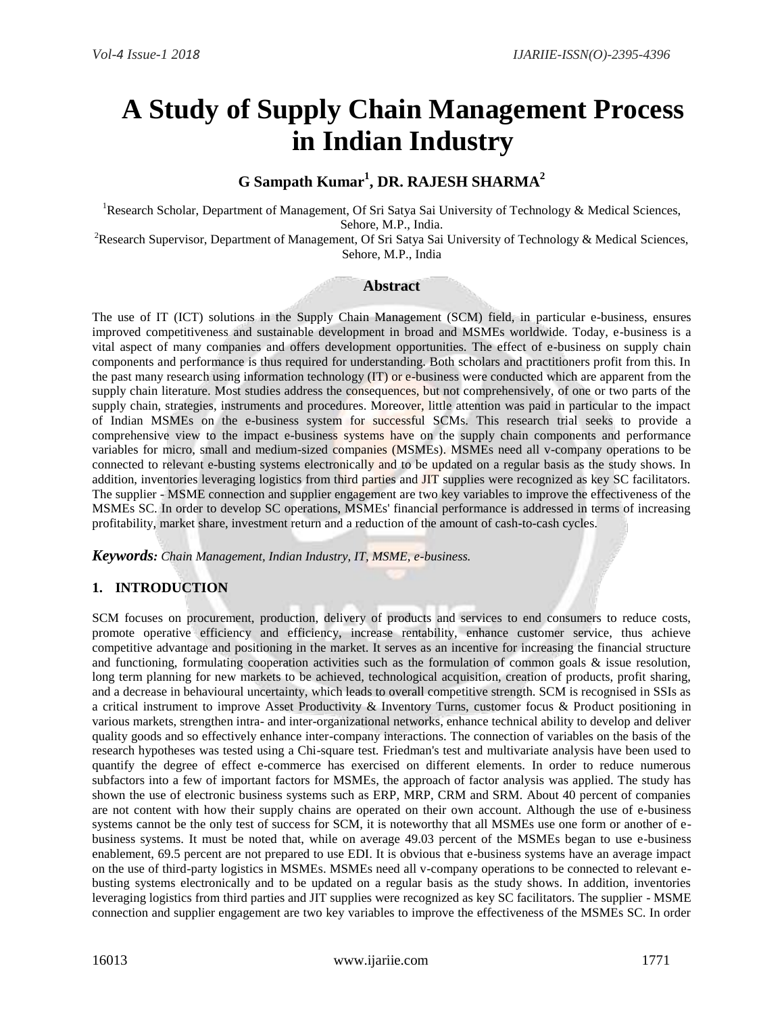# **A Study of Supply Chain Management Process in Indian Industry**

# **G Sampath Kumar<sup>1</sup> , DR. RAJESH SHARMA<sup>2</sup>**

<sup>1</sup>Research Scholar, Department of Management, Of Sri Satya Sai University of Technology & Medical Sciences, Sehore, M.P., India.

<sup>2</sup>Research Supervisor, Department of Management, Of Sri Satya Sai University of Technology & Medical Sciences, Sehore, M.P., India

#### **Abstract**

The use of IT (ICT) solutions in the Supply Chain Management (SCM) field, in particular e-business, ensures improved competitiveness and sustainable development in broad and MSMEs worldwide. Today, e-business is a vital aspect of many companies and offers development opportunities. The effect of e-business on supply chain components and performance is thus required for understanding. Both scholars and practitioners profit from this. In the past many research using information technology (IT) or e-business were conducted which are apparent from the supply chain literature. Most studies address the consequences, but not comprehensively, of one or two parts of the supply chain, strategies, instruments and procedures. Moreover, little attention was paid in particular to the impact of Indian MSMEs on the e-business system for successful SCMs. This research trial seeks to provide a comprehensive view to the impact e-business systems have on the supply chain components and performance variables for micro, small and medium-sized companies (MSMEs). MSMEs need all v-company operations to be connected to relevant e-busting systems electronically and to be updated on a regular basis as the study shows. In addition, inventories leveraging logistics from third parties and JIT supplies were recognized as key SC facilitators. The supplier - MSME connection and supplier engagement are two key variables to improve the effectiveness of the MSMEs SC. In order to develop SC operations, MSMEs' financial performance is addressed in terms of increasing profitability, market share, investment return and a reduction of the amount of cash-to-cash cycles.

*Keywords: Chain Management, Indian Industry, IT, MSME, e-business.*

# **1. INTRODUCTION**

SCM focuses on procurement, production, delivery of products and services to end consumers to reduce costs, promote operative efficiency and efficiency, increase rentability, enhance customer service, thus achieve competitive advantage and positioning in the market. It serves as an incentive for increasing the financial structure and functioning, formulating cooperation activities such as the formulation of common goals  $\&$  issue resolution, long term planning for new markets to be achieved, technological acquisition, creation of products, profit sharing, and a decrease in behavioural uncertainty, which leads to overall competitive strength. SCM is recognised in SSIs as a critical instrument to improve Asset Productivity & Inventory Turns, customer focus & Product positioning in various markets, strengthen intra- and inter-organizational networks, enhance technical ability to develop and deliver quality goods and so effectively enhance inter-company interactions. The connection of variables on the basis of the research hypotheses was tested using a Chi-square test. Friedman's test and multivariate analysis have been used to quantify the degree of effect e-commerce has exercised on different elements. In order to reduce numerous subfactors into a few of important factors for MSMEs, the approach of factor analysis was applied. The study has shown the use of electronic business systems such as ERP, MRP, CRM and SRM. About 40 percent of companies are not content with how their supply chains are operated on their own account. Although the use of e-business systems cannot be the only test of success for SCM, it is noteworthy that all MSMEs use one form or another of ebusiness systems. It must be noted that, while on average 49.03 percent of the MSMEs began to use e-business enablement, 69.5 percent are not prepared to use EDI. It is obvious that e-business systems have an average impact on the use of third-party logistics in MSMEs. MSMEs need all v-company operations to be connected to relevant ebusting systems electronically and to be updated on a regular basis as the study shows. In addition, inventories leveraging logistics from third parties and JIT supplies were recognized as key SC facilitators. The supplier - MSME connection and supplier engagement are two key variables to improve the effectiveness of the MSMEs SC. In order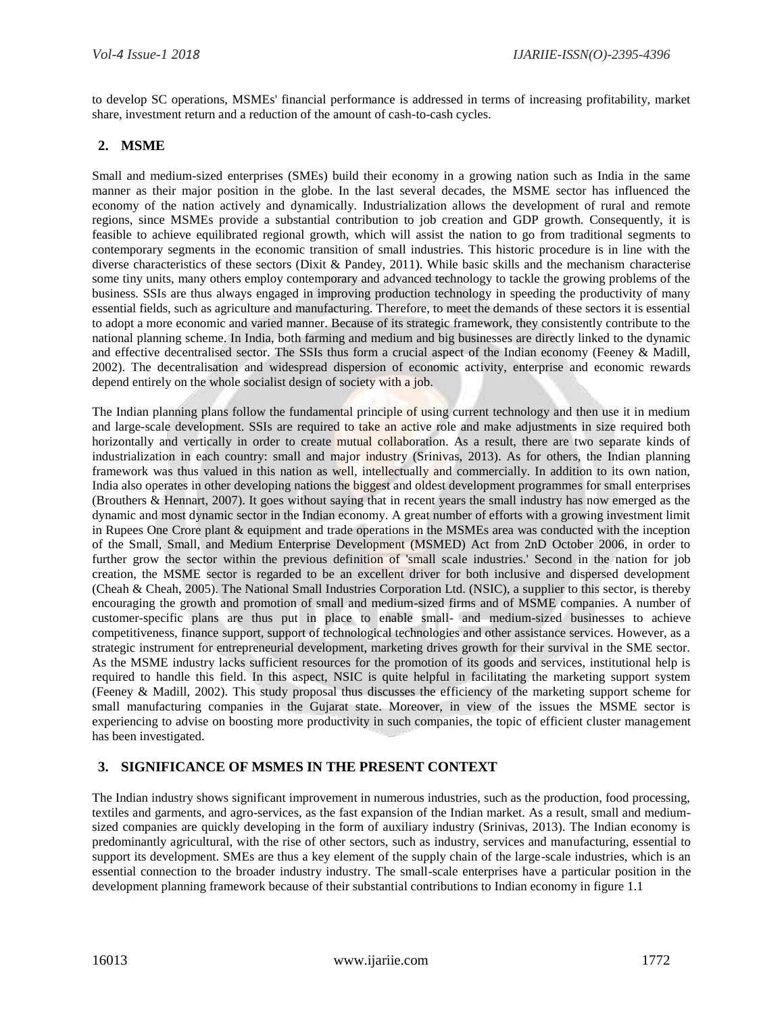to develop SC operations, MSMEs' financial performance is addressed in terms of increasing profitability, market share, investment return and a reduction of the amount of cash-to-cash cycles.

# **2. MSME**

Small and medium-sized enterprises (SMEs) build their economy in a growing nation such as India in the same manner as their major position in the globe. In the last several decades, the MSME sector has influenced the economy of the nation actively and dynamically. Industrialization allows the development of rural and remote regions, since MSMEs provide a substantial contribution to job creation and GDP growth. Consequently, it is feasible to achieve equilibrated regional growth, which will assist the nation to go from traditional segments to contemporary segments in the economic transition of small industries. This historic procedure is in line with the diverse characteristics of these sectors (Dixit & Pandey, 2011). While basic skills and the mechanism characterise some tiny units, many others employ contemporary and advanced technology to tackle the growing problems of the business. SSIs are thus always engaged in improving production technology in speeding the productivity of many essential fields, such as agriculture and manufacturing. Therefore, to meet the demands of these sectors it is essential to adopt a more economic and varied manner. Because of its strategic framework, they consistently contribute to the national planning scheme. In India, both farming and medium and big businesses are directly linked to the dynamic and effective decentralised sector. The SSIs thus form a crucial aspect of the Indian economy (Feeney & Madill, 2002). The decentralisation and widespread dispersion of economic activity, enterprise and economic rewards depend entirely on the whole socialist design of society with a job.

The Indian planning plans follow the fundamental principle of using current technology and then use it in medium and large-scale development. SSIs are required to take an active role and make adjustments in size required both horizontally and vertically in order to create mutual collaboration. As a result, there are two separate kinds of industrialization in each country: small and major industry (Srinivas, 2013). As for others, the Indian planning framework was thus valued in this nation as well, intellectually and commercially. In addition to its own nation, India also operates in other developing nations the biggest and oldest development programmes for small enterprises (Brouthers & Hennart, 2007). It goes without saying that in recent years the small industry has now emerged as the dynamic and most dynamic sector in the Indian economy. A great number of efforts with a growing investment limit in Rupees One Crore plant & equipment and trade operations in the MSMEs area was conducted with the inception of the Small, Small, and Medium Enterprise Development (MSMED) Act from 2nD October 2006, in order to further grow the sector within the previous definition of 'small scale industries.' Second in the nation for job creation, the MSME sector is regarded to be an excellent driver for both inclusive and dispersed development (Cheah & Cheah, 2005). The National Small Industries Corporation Ltd. (NSIC), a supplier to this sector, is thereby encouraging the growth and promotion of small and medium-sized firms and of MSME companies. A number of customer-specific plans are thus put in place to enable small- and medium-sized businesses to achieve competitiveness, finance support, support of technological technologies and other assistance services. However, as a strategic instrument for entrepreneurial development, marketing drives growth for their survival in the SME sector. As the MSME industry lacks sufficient resources for the promotion of its goods and services, institutional help is required to handle this field. In this aspect, NSIC is quite helpful in facilitating the marketing support system (Feeney & Madill, 2002). This study proposal thus discusses the efficiency of the marketing support scheme for small manufacturing companies in the Gujarat state. Moreover, in view of the issues the MSME sector is experiencing to advise on boosting more productivity in such companies, the topic of efficient cluster management has been investigated.

# **3. SIGNIFICANCE OF MSMES IN THE PRESENT CONTEXT**

The Indian industry shows significant improvement in numerous industries, such as the production, food processing, textiles and garments, and agro-services, as the fast expansion of the Indian market. As a result, small and mediumsized companies are quickly developing in the form of auxiliary industry (Srinivas, 2013). The Indian economy is predominantly agricultural, with the rise of other sectors, such as industry, services and manufacturing, essential to support its development. SMEs are thus a key element of the supply chain of the large-scale industries, which is an essential connection to the broader industry industry. The small-scale enterprises have a particular position in the development planning framework because of their substantial contributions to Indian economy in figure 1.1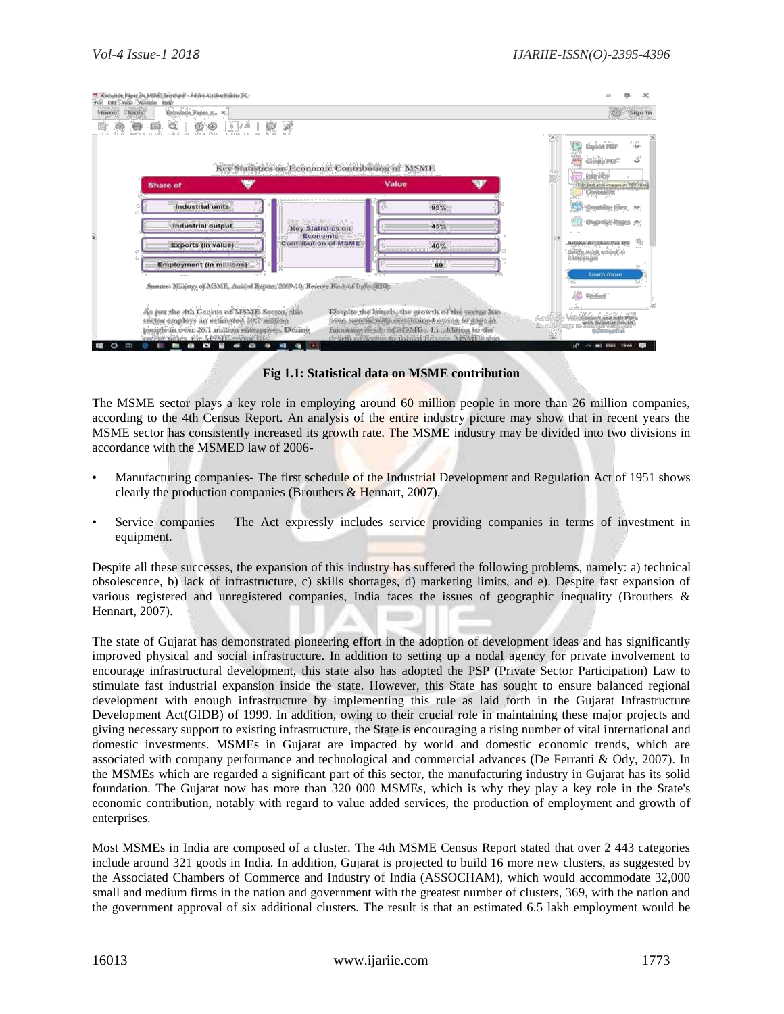| Home | Knowlede Paper R., R<br>Tombs                                                                                                                                                  |                                                                                                         |                                                                                                                                                                                                         | Sign In<br>$\omega$                                                                     |  |  |  |  |  |  |
|------|--------------------------------------------------------------------------------------------------------------------------------------------------------------------------------|---------------------------------------------------------------------------------------------------------|---------------------------------------------------------------------------------------------------------------------------------------------------------------------------------------------------------|-----------------------------------------------------------------------------------------|--|--|--|--|--|--|
|      | ₩<br>63<br>Q                                                                                                                                                                   | $\circledcirc \circ \cdots \circledcirc \mathscr{L}$<br>Key Statistics on Economic Contribution of MSME |                                                                                                                                                                                                         |                                                                                         |  |  |  |  |  |  |
|      | <b>Share of</b>                                                                                                                                                                |                                                                                                         | Value                                                                                                                                                                                                   | 靈<br>Edit PDF<br>Edit test and images in PDF files<br>Comment                           |  |  |  |  |  |  |
|      | Industrial units                                                                                                                                                               |                                                                                                         | 95%                                                                                                                                                                                                     | Combine Files >                                                                         |  |  |  |  |  |  |
|      | Industrial output                                                                                                                                                              | <b>RASHAW MARK</b><br><b>Key Statistics on</b><br>Economic                                              | 45%                                                                                                                                                                                                     | Organize Pages                                                                          |  |  |  |  |  |  |
|      | Exports (in value)                                                                                                                                                             | <b>Contribution of MSME</b>                                                                             | 40%                                                                                                                                                                                                     | Adobe Acrobat Pro DC<br>Defete, insert, extract, cir-                                   |  |  |  |  |  |  |
|      | <b>Employment (in millions)</b>                                                                                                                                                |                                                                                                         | 69                                                                                                                                                                                                      | ristate peque<br>Learn more                                                             |  |  |  |  |  |  |
|      | Source: Ministry of MSME, Annual Report, 2009-10; Reserve Bank of India (RBI)                                                                                                  |                                                                                                         |                                                                                                                                                                                                         | <b>Redact</b>                                                                           |  |  |  |  |  |  |
|      | As per the 4th Census of MSME Sector, this<br>sector employs an estimated 59.7 million<br>people in over 26.1 million enterprises. During<br>recent times, the MSME sector has |                                                                                                         | Despite the laurels, the growth of the sector has<br>been significantly constrained owing to gaps in<br>financing needs of MSMEs. In addition to the<br>dearth of access to formal finance. MSMEs also, | WinConvert and edit PDFs<br>Activitie<br>Han To With Acrobat Pro DC<br>Statt Fred Trief |  |  |  |  |  |  |

**Fig 1.1: Statistical data on MSME contribution**

The MSME sector plays a key role in employing around 60 million people in more than 26 million companies, according to the 4th Census Report. An analysis of the entire industry picture may show that in recent years the MSME sector has consistently increased its growth rate. The MSME industry may be divided into two divisions in accordance with the MSMED law of 2006-

- Manufacturing companies- The first schedule of the Industrial Development and Regulation Act of 1951 shows clearly the production companies (Brouthers  $\&$  Hennart, 2007).
- Service companies The Act expressly includes service providing companies in terms of investment in equipment.

Despite all these successes, the expansion of this industry has suffered the following problems, namely: a) technical obsolescence, b) lack of infrastructure, c) skills shortages, d) marketing limits, and e). Despite fast expansion of various registered and unregistered companies, India faces the issues of geographic inequality (Brouthers & Hennart, 2007).

The state of Gujarat has demonstrated pioneering effort in the adoption of development ideas and has significantly improved physical and social infrastructure. In addition to setting up a nodal agency for private involvement to encourage infrastructural development, this state also has adopted the PSP (Private Sector Participation) Law to stimulate fast industrial expansion inside the state. However, this State has sought to ensure balanced regional development with enough infrastructure by implementing this rule as laid forth in the Gujarat Infrastructure Development Act(GIDB) of 1999. In addition, owing to their crucial role in maintaining these major projects and giving necessary support to existing infrastructure, the State is encouraging a rising number of vital international and domestic investments. MSMEs in Gujarat are impacted by world and domestic economic trends, which are associated with company performance and technological and commercial advances (De Ferranti & Ody, 2007). In the MSMEs which are regarded a significant part of this sector, the manufacturing industry in Gujarat has its solid foundation. The Gujarat now has more than 320 000 MSMEs, which is why they play a key role in the State's economic contribution, notably with regard to value added services, the production of employment and growth of enterprises.

Most MSMEs in India are composed of a cluster. The 4th MSME Census Report stated that over 2 443 categories include around 321 goods in India. In addition, Gujarat is projected to build 16 more new clusters, as suggested by the Associated Chambers of Commerce and Industry of India (ASSOCHAM), which would accommodate 32,000 small and medium firms in the nation and government with the greatest number of clusters, 369, with the nation and the government approval of six additional clusters. The result is that an estimated 6.5 lakh employment would be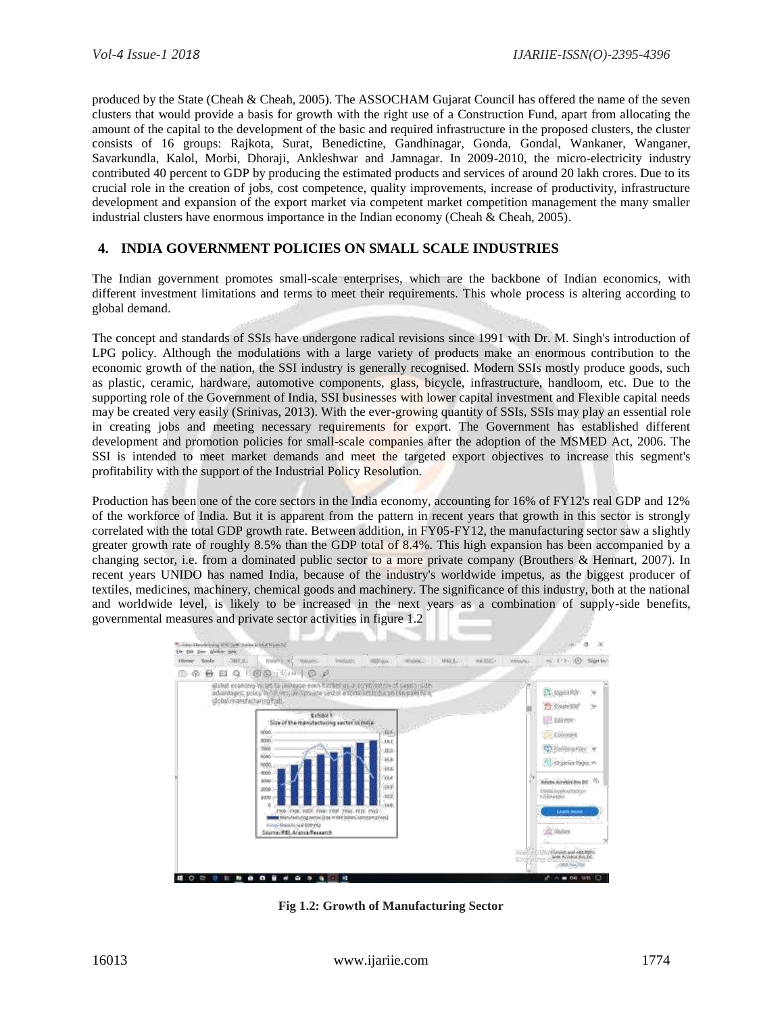produced by the State (Cheah & Cheah, 2005). The ASSOCHAM Gujarat Council has offered the name of the seven clusters that would provide a basis for growth with the right use of a Construction Fund, apart from allocating the amount of the capital to the development of the basic and required infrastructure in the proposed clusters, the cluster consists of 16 groups: Rajkota, Surat, Benedictine, Gandhinagar, Gonda, Gondal, Wankaner, Wanganer, Savarkundla, Kalol, Morbi, Dhoraji, Ankleshwar and Jamnagar. In 2009-2010, the micro-electricity industry contributed 40 percent to GDP by producing the estimated products and services of around 20 lakh crores. Due to its crucial role in the creation of jobs, cost competence, quality improvements, increase of productivity, infrastructure development and expansion of the export market via competent market competition management the many smaller industrial clusters have enormous importance in the Indian economy (Cheah & Cheah, 2005).

#### **4. INDIA GOVERNMENT POLICIES ON SMALL SCALE INDUSTRIES**

The Indian government promotes small-scale enterprises, which are the backbone of Indian economics, with different investment limitations and terms to meet their requirements. This whole process is altering according to global demand.

The concept and standards of SSIs have undergone radical revisions since 1991 with Dr. M. Singh's introduction of LPG policy. Although the modulations with a large variety of products make an enormous contribution to the economic growth of the nation, the SSI industry is generally recognised. Modern SSIs mostly produce goods, such as plastic, ceramic, hardware, automotive components, glass, bicycle, infrastructure, handloom, etc. Due to the supporting role of the Government of India, SSI businesses with lower capital investment and Flexible capital needs may be created very easily (Srinivas, 2013). With the ever-growing quantity of SSIs, SSIs may play an essential role in creating jobs and meeting necessary requirements for export. The Government has established different development and promotion policies for small-scale companies after the adoption of the MSMED Act, 2006. The SSI is intended to meet market demands and meet the targeted export objectives to increase this segment's profitability with the support of the Industrial Policy Resolution.

Production has been one of the core sectors in the India economy, accounting for 16% of FY12's real GDP and 12% of the workforce of India. But it is apparent from the pattern in recent years that growth in this sector is strongly correlated with the total GDP growth rate. Between addition, in FY05-FY12, the manufacturing sector saw a slightly greater growth rate of roughly 8.5% than the GDP total of 8.4%. This high expansion has been accompanied by a changing sector, i.e. from a dominated public sector to a more private company (Brouthers & Hennart, 2007). In recent years UNIDO has named India, because of the industry's worldwide impetus, as the biggest producer of textiles, medicines, machinery, chemical goods and machinery. The significance of this industry, both at the national and worldwide level, is likely to be increased in the next years as a combination of supply-side benefits, governmental measures and private sector activities in figure 1.2



**Fig 1.2: Growth of Manufacturing Sector**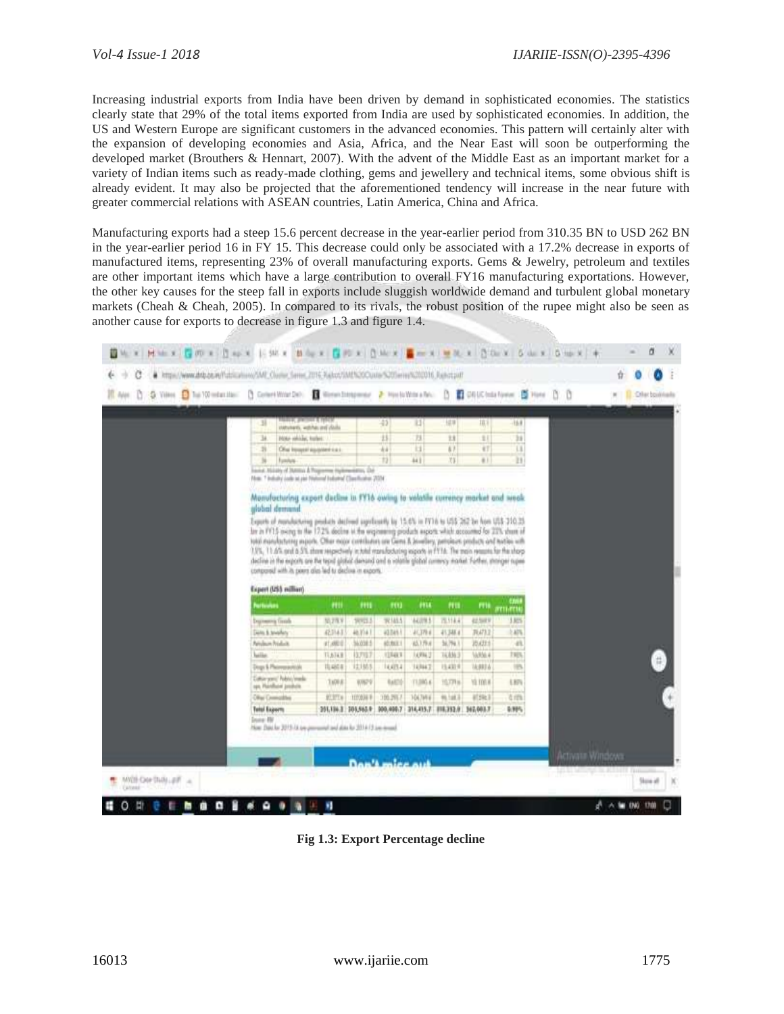Increasing industrial exports from India have been driven by demand in sophisticated economies. The statistics clearly state that 29% of the total items exported from India are used by sophisticated economies. In addition, the US and Western Europe are significant customers in the advanced economies. This pattern will certainly alter with the expansion of developing economies and Asia, Africa, and the Near East will soon be outperforming the developed market (Brouthers & Hennart, 2007). With the advent of the Middle East as an important market for a variety of Indian items such as ready-made clothing, gems and jewellery and technical items, some obvious shift is already evident. It may also be projected that the aforementioned tendency will increase in the near future with greater commercial relations with ASEAN countries, Latin America, China and Africa.

Manufacturing exports had a steep 15.6 percent decrease in the year-earlier period from 310.35 BN to USD 262 BN in the year-earlier period 16 in FY 15. This decrease could only be associated with a 17.2% decrease in exports of manufactured items, representing 23% of overall manufacturing exports. Gems & Jewelry, petroleum and textiles are other important items which have a large contribution to overall FY16 manufacturing exportations. However, the other key causes for the steep fall in exports include sluggish worldwide demand and turbulent global monetary markets (Cheah & Cheah, 2005). In compared to its rivals, the robust position of the rupee might also be seen as another cause for exports to decrease in figure 1.3 and figure 1.4.

| O Vien @ ha 10 minute: [] Covert World No. 2 Wenn Integrates: 2 Wents With a Ro. [] 2 CH UC (mix form: [2] Hone<br>D |                                                                                                                     |                                |                    |                        |                                         |                           |                      |                    | n n              | × | Offer bookhada |
|----------------------------------------------------------------------------------------------------------------------|---------------------------------------------------------------------------------------------------------------------|--------------------------------|--------------------|------------------------|-----------------------------------------|---------------------------|----------------------|--------------------|------------------|---|----------------|
|                                                                                                                      |                                                                                                                     |                                |                    |                        |                                         |                           |                      |                    |                  |   |                |
|                                                                                                                      | amana, husines g stack<br>31                                                                                        |                                |                    | $-43$                  | 11                                      | 16.97                     | 排斥                   | 16.8               |                  |   |                |
|                                                                                                                      |                                                                                                                     | statutests, witches and classs |                    |                        |                                         |                           |                      |                    |                  |   |                |
|                                                                                                                      | 34.<br>Note edilibe, trailer.<br>26                                                                                 | Ohai Insussi agusteri c.a.i.   |                    | 15<br>441              | 73<br>11                                | Ħ<br>$\overline{1}$       | 11<br>4T             | 31<br>$\mathbf{u}$ |                  |   |                |
|                                                                                                                      | 36<br>Fundusi                                                                                                       |                                |                    | 13                     | 44.1                                    | 73                        | $+1$                 | Ш                  |                  |   |                |
|                                                                                                                      | land, Nissly of Juneau & Programme Hydrosolettes, Chr.                                                              |                                |                    |                        |                                         |                           |                      |                    |                  |   |                |
|                                                                                                                      | PAren. 7 Including Louis an pair Financourt Endormed Classification: 2024                                           |                                |                    |                        |                                         |                           |                      |                    |                  |   |                |
|                                                                                                                      |                                                                                                                     |                                |                    |                        |                                         |                           |                      |                    |                  |   |                |
|                                                                                                                      | Monufacturing export decline in FY16 owing to volatile currency market and weak                                     |                                |                    |                        |                                         |                           |                      |                    |                  |   |                |
|                                                                                                                      | alubal demand                                                                                                       |                                |                    |                        |                                         |                           |                      |                    |                  |   |                |
|                                                                                                                      | Exports of manufacturing products declined approachly by 15.4% in FF16 to US\$ 262 by Non US\$-210.25.              |                                |                    |                        |                                         |                           |                      |                    |                  |   |                |
|                                                                                                                      |                                                                                                                     |                                |                    |                        |                                         |                           |                      |                    |                  |   |                |
|                                                                                                                      | lin in PF15 oxing to the 17.2% decline to the engineering products exports which accounted for 22% share of         |                                |                    |                        |                                         |                           |                      |                    |                  |   |                |
|                                                                                                                      | total manufacturing augusts. Other moder contributors can Gerra & Jewellery, periodes is products and testiles with |                                |                    |                        |                                         |                           |                      |                    |                  |   |                |
|                                                                                                                      | 1.9%, 11.6% and 8.5% there respectively in total manufacturing exports in FYTA. The train returns for the shorp     |                                |                    |                        |                                         |                           |                      |                    |                  |   |                |
|                                                                                                                      | decline in the exports are the tepst global densend and a volatile global contexy market. Further, stronger rupes   |                                |                    |                        |                                         |                           |                      |                    |                  |   |                |
|                                                                                                                      | compared with its poers also led to decline in exports.                                                             |                                |                    |                        |                                         |                           |                      |                    |                  |   |                |
|                                                                                                                      | Expert (US\$ million)                                                                                               |                                |                    |                        |                                         |                           |                      |                    |                  |   |                |
|                                                                                                                      | hettenhos                                                                                                           | m                              | m                  | m                      | $+114$                                  | m                         | ma                   |                    |                  |   |                |
|                                                                                                                      |                                                                                                                     | 55,27KV                        | 98913.3            | 92145.5                | 44,078.5                                | 75, 114, 41               | 42,549.9             | 5711.0718<br>3.82% |                  |   |                |
|                                                                                                                      | Depressing Grade                                                                                                    |                                |                    |                        |                                         |                           |                      |                    |                  |   |                |
|                                                                                                                      | <b>Gills &amp; trushery</b><br><b>Arisbum Prishalt</b>                                                              | 42,314.3                       | 48.914 F           | 43.045.5<br>结加工        | 41,378.6<br>A3.179.6                    | 45,348.4<br>56,764.1      | 76473.2              | 5,476              |                  |   |                |
|                                                                                                                      |                                                                                                                     | #1,480.0                       | 56,038.5           |                        | 14,994.3                                |                           | 20,422.5             | 4h<br>1905         |                  |   |                |
|                                                                                                                      | lailas                                                                                                              | TL6TA B                        | (3,715)            | 12948.9                |                                         | 16,836.3                  | 14,956.4             |                    |                  |   |                |
|                                                                                                                      | Dogs & Platermanitide<br>Coltic your Ndorry made<br>sps. Hainflatel products                                        | 10,460.6<br><b>TAD9.8</b>      | 12,185.9<br>6929   | 16,634<br><b>BARTI</b> | 14,944.7<br>T1.590.6                    | 15,433.9<br><b>YEZPIN</b> | 14,983 &<br>Yà TON H | 16<br>LIPV         |                  |   |                |
|                                                                                                                      |                                                                                                                     |                                |                    |                        |                                         |                           |                      |                    |                  |   |                |
|                                                                                                                      | Olivei Connectibus                                                                                                  | <b>BERTH</b>                   | <b>1000AF</b>      | 105,2957               | 104,7844                                | <b>99, 148, 2</b>         | 41341                | 在作业                |                  |   |                |
|                                                                                                                      | <b>Tetal Exports</b>                                                                                                |                                | 201318-2 205,565.9 |                        | 000.000.7 314,415.7 818,352.0 362,003.7 |                           |                      | 5.99%              |                  |   |                |
|                                                                                                                      | <b>Dona Hill</b><br>Now Date for 2015-18 top prevented and also for 2014-12 i.m. nound.                             |                                |                    |                        |                                         |                           |                      |                    |                  |   |                |
|                                                                                                                      |                                                                                                                     |                                |                    |                        |                                         |                           |                      |                    |                  |   |                |
|                                                                                                                      |                                                                                                                     |                                |                    |                        |                                         |                           |                      |                    | Activate Windows |   |                |

**Fig 1.3: Export Percentage decline**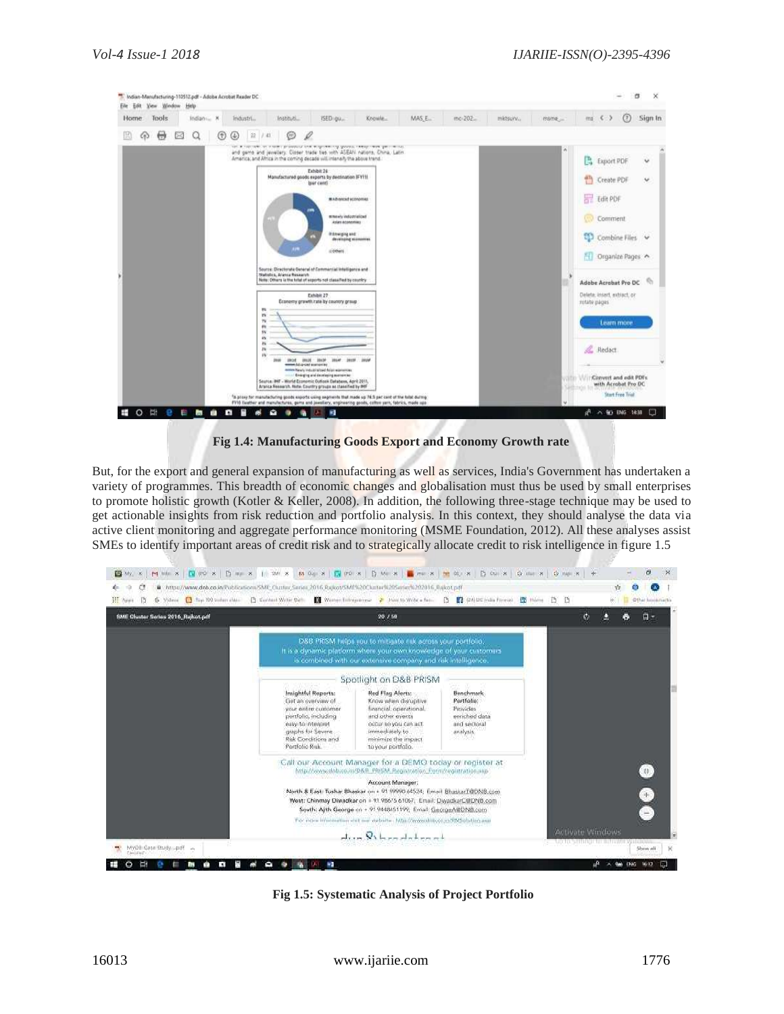| <b>Tools</b><br>Home |   | Indian - X |   | Industri |                                                        |             | Instituti                                                              | ISED gu                                                                                                                                                                                                                                                                                                                                                                                                                                                                                                        | Knowle                                                                                                                                                                                                                                                                                                                                                                            | MAS.E.                                                                                                                                                                                                                       | mc-202 | mictsury | mime |                             | $ma \leq 2$                                                                                                                                                                        | (7)                                                      | Sign In |
|----------------------|---|------------|---|----------|--------------------------------------------------------|-------------|------------------------------------------------------------------------|----------------------------------------------------------------------------------------------------------------------------------------------------------------------------------------------------------------------------------------------------------------------------------------------------------------------------------------------------------------------------------------------------------------------------------------------------------------------------------------------------------------|-----------------------------------------------------------------------------------------------------------------------------------------------------------------------------------------------------------------------------------------------------------------------------------------------------------------------------------------------------------------------------------|------------------------------------------------------------------------------------------------------------------------------------------------------------------------------------------------------------------------------|--------|----------|------|-----------------------------|------------------------------------------------------------------------------------------------------------------------------------------------------------------------------------|----------------------------------------------------------|---------|
| ы                    | œ | a          | ⊕ | ⊕        | 22 / 41                                                |             | ⊛                                                                      | 0                                                                                                                                                                                                                                                                                                                                                                                                                                                                                                              |                                                                                                                                                                                                                                                                                                                                                                                   |                                                                                                                                                                                                                              |        |          |      |                             |                                                                                                                                                                                    |                                                          |         |
|                      |   |            |   |          | $W_4$<br>W.<br>79'<br>m<br>SV.<br>are.<br>m<br>26<br>w | <b>José</b> | Statistics, Aranca Research<br>IRUE BILLY IREP<br>www.hduptar.comprise | Exhibit 24<br>Manufactured goods exports by declination IFYHI<br>beer cent!<br>II Others<br>Source: Directorate General of Commercial Intelligence and<br>Note: Others is the first of exports not classified by country<br>Exhibit 27<br>Economy growth rate by country group<br>minister Natural Industrial States of Asian experiences.<br>- Cranging and developing accreasing<br>Seurce: INF - World Economic Outlook Eatabers, April 2011,<br>Aranca Research, Note: Country groups as classified by INF | the capabilities and acceptance of the control cannot the control<br>and game and jewellery. Closer trade tes with ASEAN nations. China, Latin<br>America, and Africa in the coming decade will intensify the above frend.<br>MARINENT KONVINS<br><b>It havely indigerrialized</b><br>Aslas Aconomias<br>it from ping and:<br>developing economies.<br><b>JOSH JOIN</b><br>pages. | <sup>4</sup> A proxy for manifecturing goods exports using segments that made up 76.5 per cent of the total didma-<br>FV10 (leather and manufactures, gems and jewellery, engineering goods, coften parn, fabrics, made upo- |        |          |      | B<br>冊<br>龗<br>rotate pages | Export PDF<br>Create PDF<br>Edit PDF<br>Comment<br>- Organize Pages<br>Adobe Acrobat Pro DC<br>Deleta insert exhiact or<br>Redact<br>Convert and edit PDFs.<br>with Acrobat Pro DC | Combine Files V<br>Learn more<br><b>Start Free Trial</b> | ü<br>v  |

**Fig 1.4: Manufacturing Goods Export and Economy Growth rate**

But, for the export and general expansion of manufacturing as well as services, India's Government has undertaken a variety of programmes. This breadth of economic changes and globalisation must thus be used by small enterprises to promote holistic growth (Kotler & Keller, 2008). In addition, the following three-stage technique may be used to get actionable insights from risk reduction and portfolio analysis. In this context, they should analyse the data via active client monitoring and aggregate performance monitoring (MSME Foundation, 2012). All these analyses assist SMEs to identify important areas of credit risk and to strategically allocate credit to risk intelligence in figure 1.5



**Fig 1.5: Systematic Analysis of Project Portfolio**